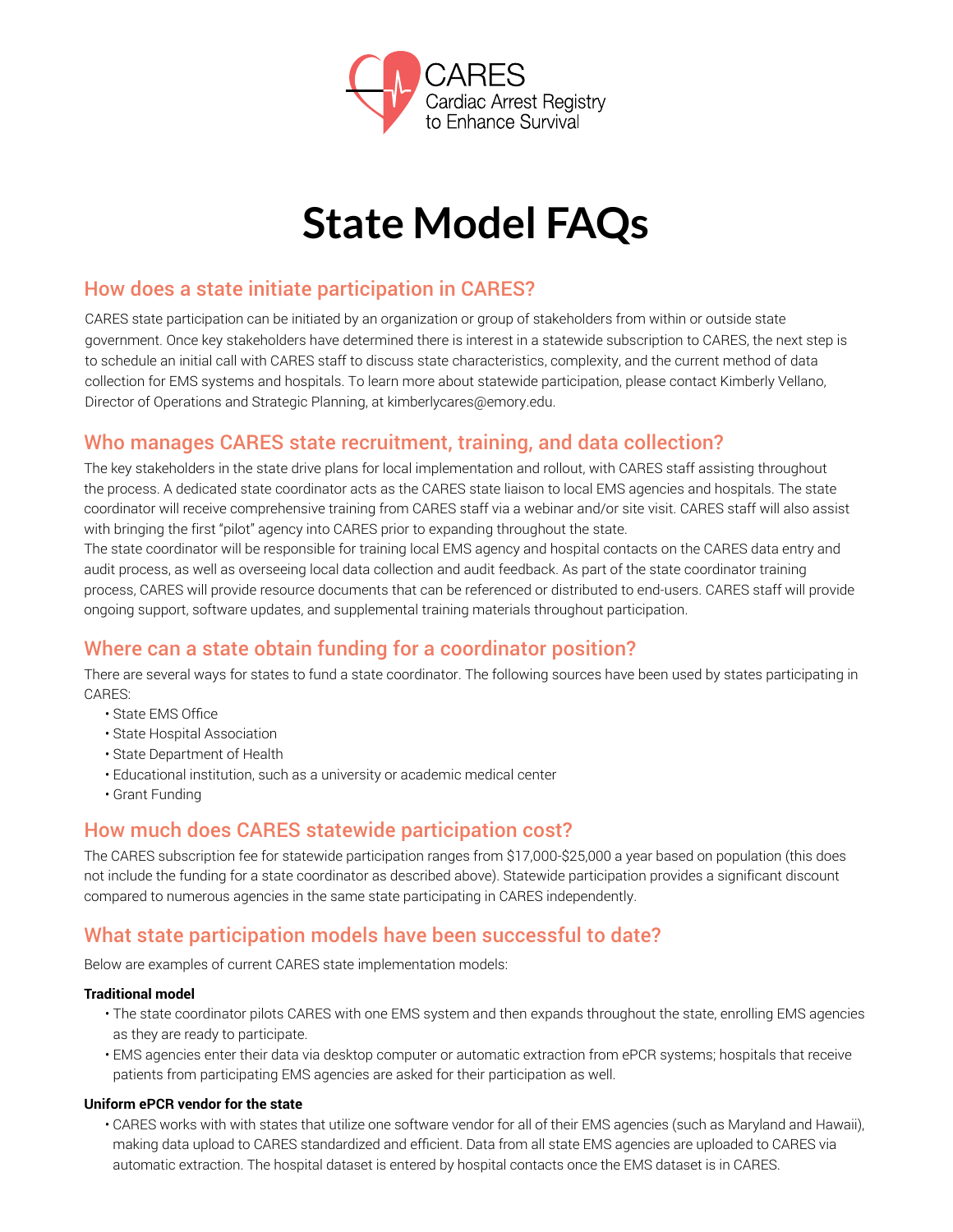

# **State Model FAQs**

# How does a state initiate participation in CARES?

CARES state participation can be initiated by an organization or group of stakeholders from within or outside state government. Once key stakeholders have determined there is interest in a statewide subscription to CARES, the next step is to schedule an initial call with CARES staff to discuss state characteristics, complexity, and the current method of data collection for EMS systems and hospitals. To learn more about statewide participation, please contact Kimberly Vellano, Director of Operations and Strategic Planning, at kimberlycares@emory.edu.

# Who manages CARES state recruitment, training, and data collection?

The key stakeholders in the state drive plans for local implementation and rollout, with CARES staff assisting throughout the process. A dedicated state coordinator acts as the CARES state liaison to local EMS agencies and hospitals. The state coordinator will receive comprehensive training from CARES staff via a webinar and/or site visit. CARES staff will also assist with bringing the first "pilot" agency into CARES prior to expanding throughout the state.

The state coordinator will be responsible for training local EMS agency and hospital contacts on the CARES data entry and audit process, as well as overseeing local data collection and audit feedback. As part of the state coordinator training process, CARES will provide resource documents that can be referenced or distributed to end-users. CARES staff will provide ongoing support, software updates, and supplemental training materials throughout participation.

# Where can a state obtain funding for a coordinator position?

There are several ways for states to fund a state coordinator. The following sources have been used by states participating in CARES:

- State EMS Office
- State Hospital Association
- State Department of Health
- Educational institution, such as a university or academic medical center
- Grant Funding

# How much does CARES statewide participation cost?

The CARES subscription fee for statewide participation ranges from \$17,000-\$25,000 a year based on population (this does not include the funding for a state coordinator as described above). Statewide participation provides a significant discount compared to numerous agencies in the same state participating in CARES independently.

# What state participation models have been successful to date?

Below are examples of current CARES state implementation models:

#### **Traditional model**

- The state coordinator pilots CARES with one EMS system and then expands throughout the state, enrolling EMS agencies as they are ready to participate.
- EMS agencies enter their data via desktop computer or automatic extraction from ePCR systems; hospitals that receive patients from participating EMS agencies are asked for their participation as well.

#### **Uniform ePCR vendor for the state**

• CARES works with with states that utilize one software vendor for all of their EMS agencies (such as Maryland and Hawaii), making data upload to CARES standardized and efficient. Data from all state EMS agencies are uploaded to CARES via automatic extraction. The hospital dataset is entered by hospital contacts once the EMS dataset is in CARES.